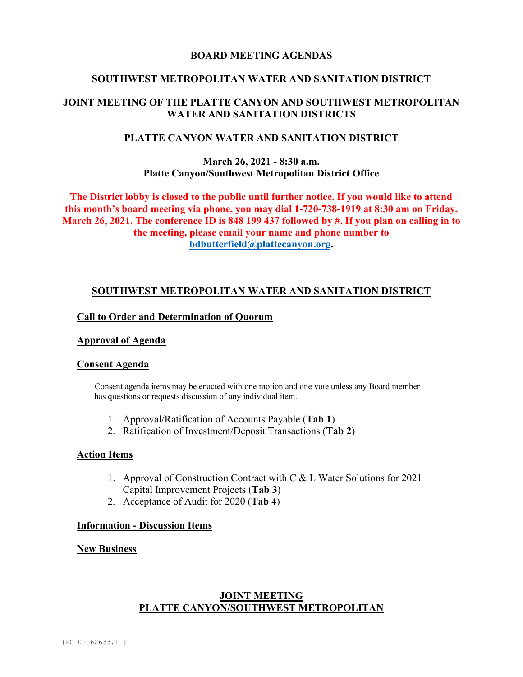## **BOARD MEETING AGENDAS**

## **SOUTHWEST METROPOLITAN WATER AND SANITATION DISTRICT**

# **JOINT MEETING OF THE PLATTE CANYON AND SOUTHWEST METROPOLITAN WATER AND SANITATION DISTRICTS**

## **PLATTE CANYON WATER AND SANITATION DISTRICT**

## **March 26, 2021 - 8:30 a.m. Platte Canyon/Southwest Metropolitan District Office**

**The District lobby is closed to the public until further notice. If you would like to attend this month's board meeting via phone, you may dial 1-720-738-1919 at 8:30 am on Friday, March 26, 2021. The conference ID is 848 199 437 followed by #. If you plan on calling in to the meeting, please email your name and phone number to [bdbutterfield@plattecanyon.org.](mailto:bdbutterfield@plattecanyon.org)**

## **SOUTHWEST METROPOLITAN WATER AND SANITATION DISTRICT**

## **Call to Order and Determination of Quorum**

### **Approval of Agenda**

### **Consent Agenda**

 Consent agenda items may be enacted with one motion and one vote unless any Board member has questions or requests discussion of any individual item.

- 1. Approval/Ratification of Accounts Payable (**Tab 1**)
- 2. Ratification of Investment/Deposit Transactions (**Tab 2**)

#### **Action Items**

- 1. Approval of Construction Contract with C & L Water Solutions for 2021 Capital Improvement Projects (**Tab 3**)
- 2. Acceptance of Audit for 2020 (**Tab 4**)

## **Information - Discussion Items**

#### **New Business**

# **JOINT MEETING PLATTE CANYON/SOUTHWEST METROPOLITAN**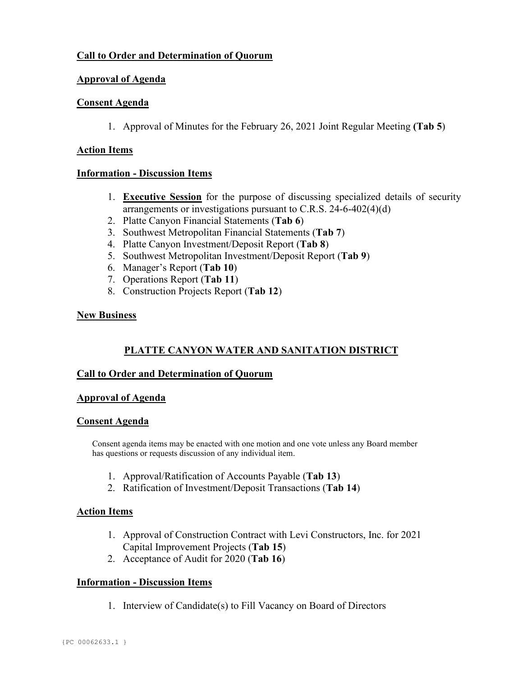# **Call to Order and Determination of Quorum**

# **Approval of Agenda**

## **Consent Agenda**

1. Approval of Minutes for the February 26, 2021 Joint Regular Meeting **(Tab 5**)

## **Action Items**

## **Information - Discussion Items**

- 1. **Executive Session** for the purpose of discussing specialized details of security arrangements or investigations pursuant to C.R.S. 24-6-402(4)(d)
- 2. Platte Canyon Financial Statements (**Tab 6**)
- 3. Southwest Metropolitan Financial Statements (**Tab 7**)
- 4. Platte Canyon Investment/Deposit Report (**Tab 8**)
- 5. Southwest Metropolitan Investment/Deposit Report (**Tab 9**)
- 6. Manager's Report (**Tab 10**)
- 7. Operations Report (**Tab 11**)
- 8. Construction Projects Report (**Tab 12**)

# **New Business**

# **PLATTE CANYON WATER AND SANITATION DISTRICT**

# **Call to Order and Determination of Quorum**

# **Approval of Agenda**

## **Consent Agenda**

Consent agenda items may be enacted with one motion and one vote unless any Board member has questions or requests discussion of any individual item.

- 1. Approval/Ratification of Accounts Payable (**Tab 13**)
- 2. Ratification of Investment/Deposit Transactions (**Tab 14**)

## **Action Items**

- 1. Approval of Construction Contract with Levi Constructors, Inc. for 2021 Capital Improvement Projects (**Tab 15**)
- 2. Acceptance of Audit for 2020 (**Tab 16**)

# **Information - Discussion Items**

1. Interview of Candidate(s) to Fill Vacancy on Board of Directors